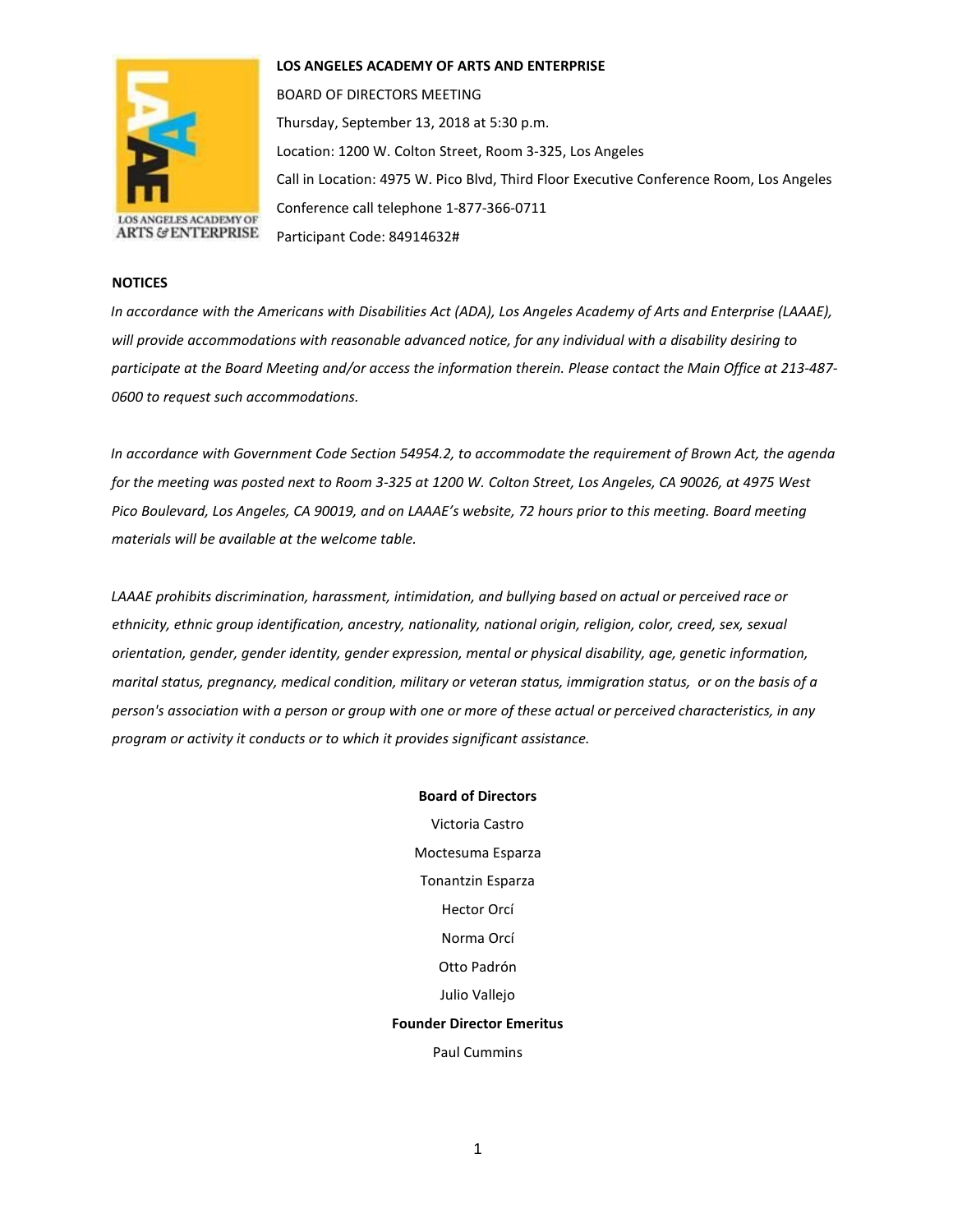

**LOS ANGELES ACADEMY OF ARTS AND ENTERPRISE** 

BOARD OF DIRECTORS MEETING Thursday, September 13, 2018 at 5:30 p.m. Location: 1200 W. Colton Street, Room 3-325, Los Angeles Call in Location: 4975 W. Pico Blvd, Third Floor Executive Conference Room, Los Angeles Conference call telephone 1-877-366-0711 Participant Code: 84914632#

## **NOTICES**

*In accordance with the Americans with Disabilities Act (ADA), Los Angeles Academy of Arts and Enterprise (LAAAE), will provide accommodations with reasonable advanced notice, for any individual with a disability desiring to participate at the Board Meeting and/or access the information therein. Please contact the Main Office at 213-487- 0600 to request such accommodations.* 

*In accordance with Government Code Section 54954.2, to accommodate the requirement of Brown Act, the agenda for the meeting was posted next to Room 3-325 at 1200 W. Colton Street, Los Angeles, CA 90026, at 4975 West Pico Boulevard, Los Angeles, CA 90019, and on LAAAE's website, 72 hours prior to this meeting. Board meeting materials will be available at the welcome table.* 

*LAAAE prohibits discrimination, harassment, intimidation, and bullying based on actual or perceived race or ethnicity, ethnic group identification, ancestry, nationality, national origin, religion, color, creed, sex, sexual orientation, gender, gender identity, gender expression, mental or physical disability, age, genetic information, marital status, pregnancy, medical condition, military or veteran status, immigration status, or on the basis of a person's association with a person or group with one or more of these actual or perceived characteristics, in any program or activity it conducts or to which it provides significant assistance.* 

> **Board of Directors** Victoria Castro Moctesuma Esparza Tonantzin Esparza Hector Orcí Norma Orcí Otto Padrón Julio Vallejo **Founder Director Emeritus** Paul Cummins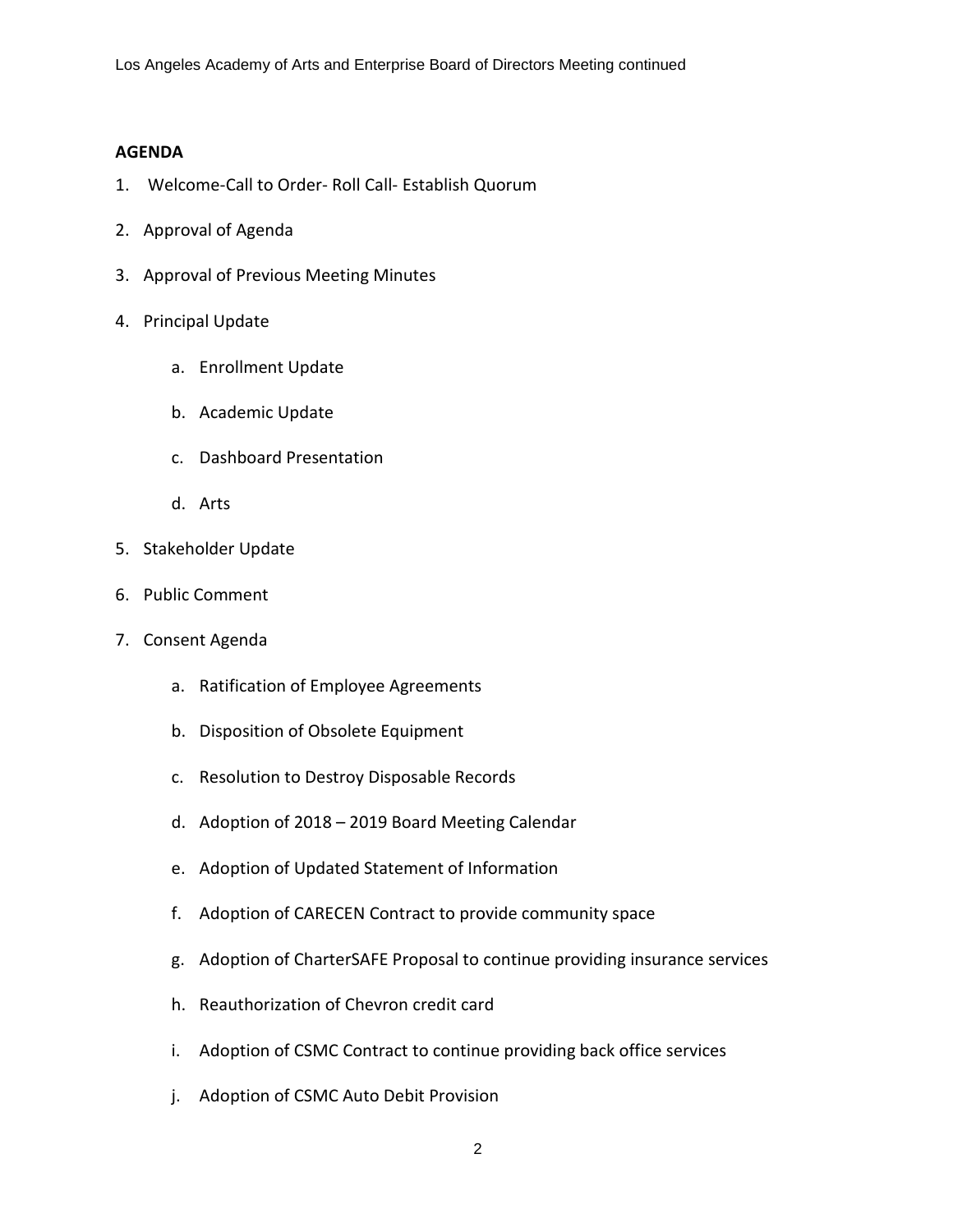## **AGENDA**

- 1. Welcome-Call to Order- Roll Call- Establish Quorum
- 2. Approval of Agenda
- 3. Approval of Previous Meeting Minutes
- 4. Principal Update
	- a. Enrollment Update
	- b. Academic Update
	- c. Dashboard Presentation
	- d. Arts
- 5. Stakeholder Update
- 6. Public Comment
- 7. Consent Agenda
	- a. Ratification of Employee Agreements
	- b. Disposition of Obsolete Equipment
	- c. Resolution to Destroy Disposable Records
	- d. Adoption of 2018 2019 Board Meeting Calendar
	- e. Adoption of Updated Statement of Information
	- f. Adoption of CARECEN Contract to provide community space
	- g. Adoption of CharterSAFE Proposal to continue providing insurance services
	- h. Reauthorization of Chevron credit card
	- i. Adoption of CSMC Contract to continue providing back office services
	- j. Adoption of CSMC Auto Debit Provision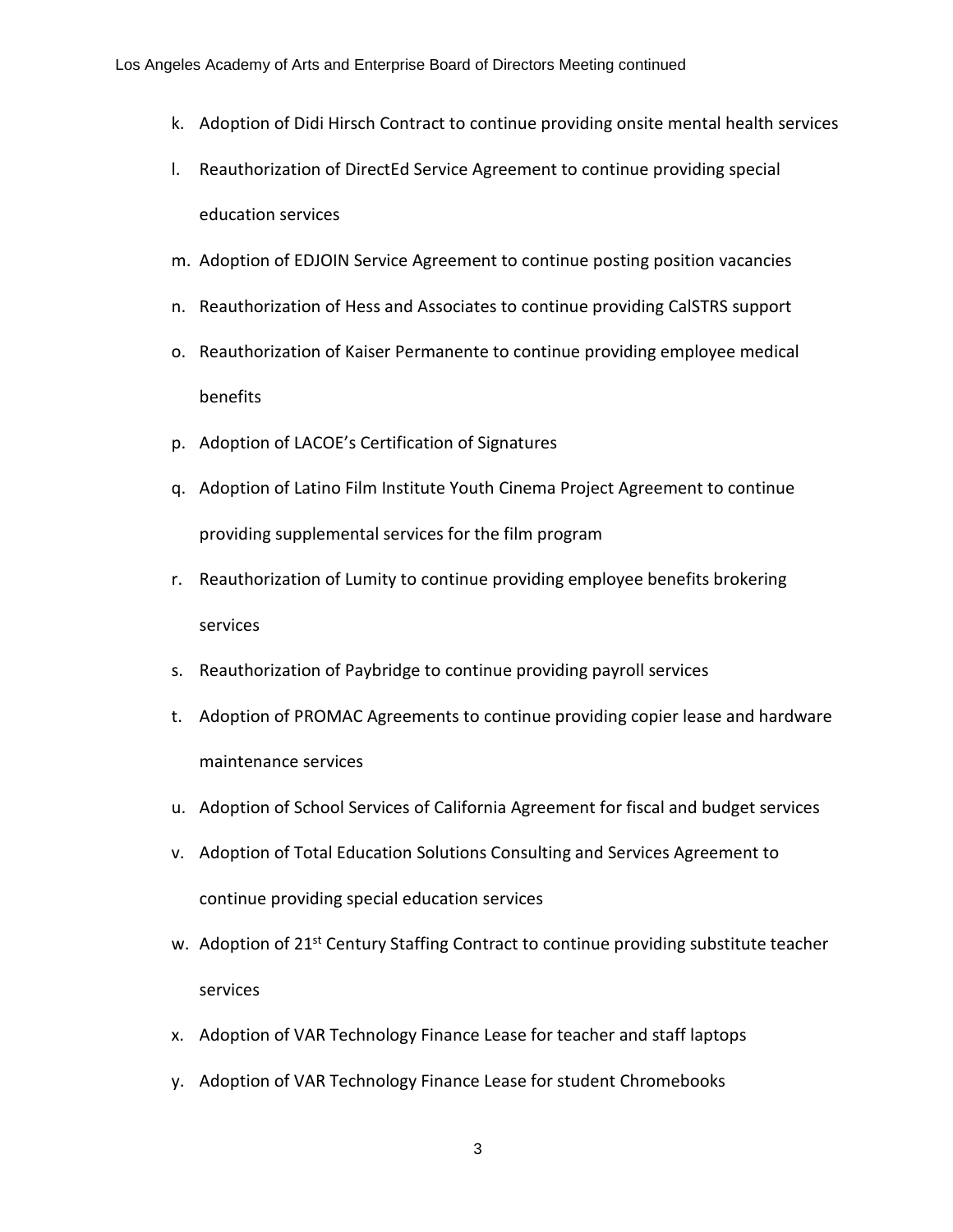- k. Adoption of Didi Hirsch Contract to continue providing onsite mental health services
- l. Reauthorization of DirectEd Service Agreement to continue providing special education services
- m. Adoption of EDJOIN Service Agreement to continue posting position vacancies
- n. Reauthorization of Hess and Associates to continue providing CalSTRS support
- o. Reauthorization of Kaiser Permanente to continue providing employee medical benefits
- p. Adoption of LACOE's Certification of Signatures
- q. Adoption of Latino Film Institute Youth Cinema Project Agreement to continue providing supplemental services for the film program
- r. Reauthorization of Lumity to continue providing employee benefits brokering services
- s. Reauthorization of Paybridge to continue providing payroll services
- t. Adoption of PROMAC Agreements to continue providing copier lease and hardware maintenance services
- u. Adoption of School Services of California Agreement for fiscal and budget services
- v. Adoption of Total Education Solutions Consulting and Services Agreement to continue providing special education services
- w. Adoption of 21<sup>st</sup> Century Staffing Contract to continue providing substitute teacher services
- x. Adoption of VAR Technology Finance Lease for teacher and staff laptops
- y. Adoption of VAR Technology Finance Lease for student Chromebooks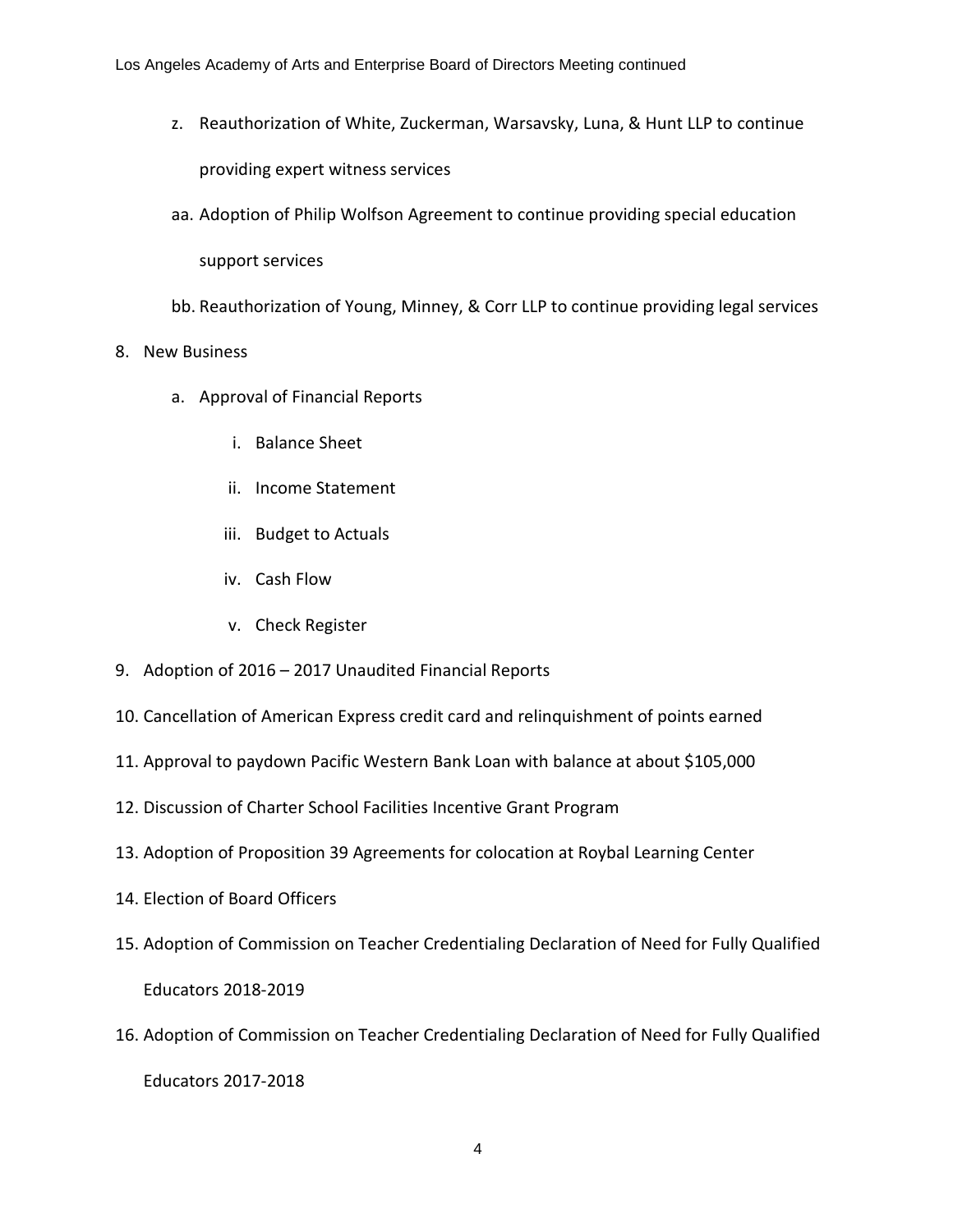- z. Reauthorization of White, Zuckerman, Warsavsky, Luna, & Hunt LLP to continue providing expert witness services
- aa. Adoption of Philip Wolfson Agreement to continue providing special education

support services

- bb. Reauthorization of Young, Minney, & Corr LLP to continue providing legal services
- 8. New Business
	- a. Approval of Financial Reports
		- i. Balance Sheet
		- ii. Income Statement
		- iii. Budget to Actuals
		- iv. Cash Flow
		- v. Check Register
- 9. Adoption of 2016 2017 Unaudited Financial Reports
- 10. Cancellation of American Express credit card and relinquishment of points earned
- 11. Approval to paydown Pacific Western Bank Loan with balance at about \$105,000
- 12. Discussion of Charter School Facilities Incentive Grant Program
- 13. Adoption of Proposition 39 Agreements for colocation at Roybal Learning Center
- 14. Election of Board Officers
- 15. Adoption of Commission on Teacher Credentialing Declaration of Need for Fully Qualified Educators 2018-2019
- 16. Adoption of Commission on Teacher Credentialing Declaration of Need for Fully Qualified Educators 2017-2018